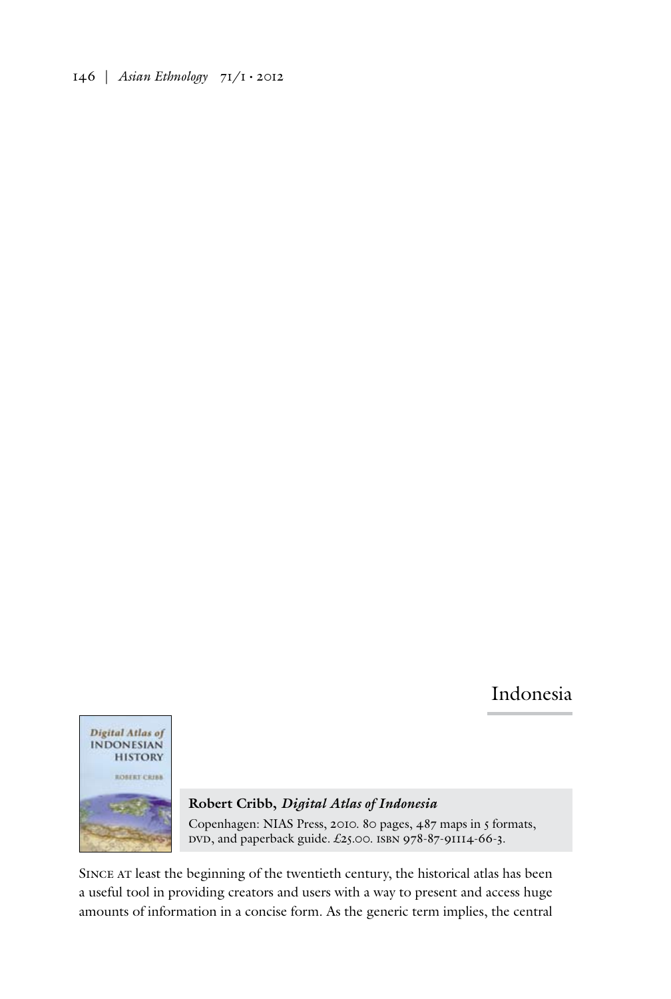146 | *Asian Ethnology* 71/1 • 2012

## Indonesia



**Robert Cribb,** *Digital Atlas of Indonesia* Copenhagen: NIAS Press, 2010. 80 pages, 487 maps in 5 formats, DVD, and paperback guide. £25.00. ISBN 978-87-91114-66-3.

Since at least the beginning of the twentieth century, the historical atlas has been a useful tool in providing creators and users with a way to present and access huge amounts of information in a concise form. As the generic term implies, the central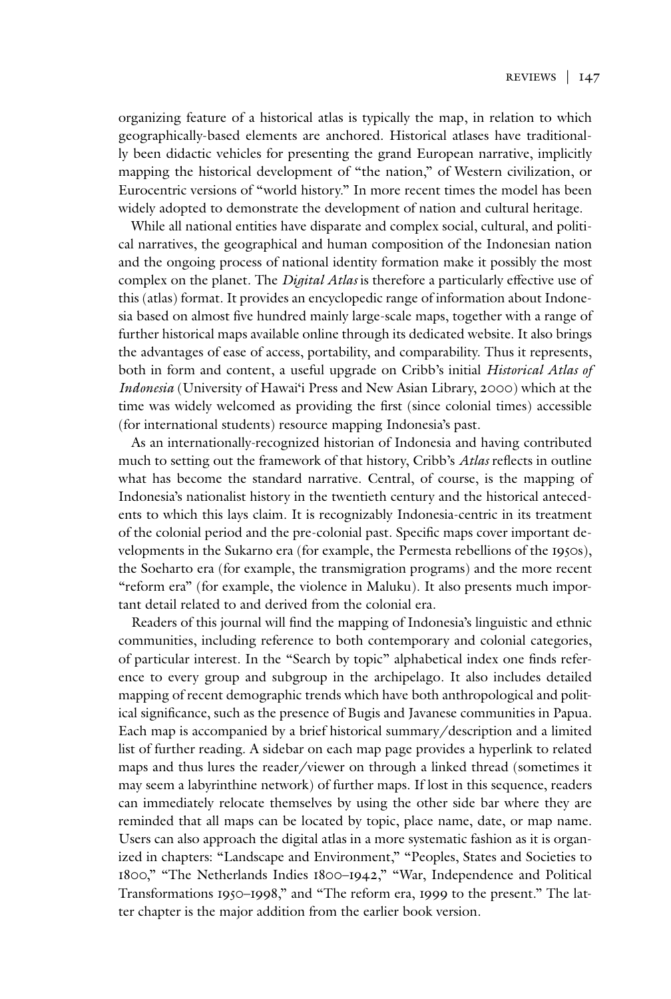organizing feature of a historical atlas is typically the map, in relation to which geographically-based elements are anchored. Historical atlases have traditionally been didactic vehicles for presenting the grand European narrative, implicitly mapping the historical development of "the nation," of Western civilization, or Eurocentric versions of "world history." In more recent times the model has been widely adopted to demonstrate the development of nation and cultural heritage.

While all national entities have disparate and complex social, cultural, and political narratives, the geographical and human composition of the Indonesian nation and the ongoing process of national identity formation make it possibly the most complex on the planet. The *Digital Atlas* is therefore a particularly effective use of this (atlas) format. It provides an encyclopedic range of information about Indonesia based on almost five hundred mainly large-scale maps, together with a range of further historical maps available online through its dedicated website. It also brings the advantages of ease of access, portability, and comparability. Thus it represents, both in form and content, a useful upgrade on Cribb's initial *Historical Atlas of Indonesia* (University of Hawai'i Press and New Asian Library, 2000) which at the time was widely welcomed as providing the first (since colonial times) accessible (for international students) resource mapping Indonesia's past.

As an internationally-recognized historian of Indonesia and having contributed much to setting out the framework of that history, Cribb's *Atlas* reflects in outline what has become the standard narrative. Central, of course, is the mapping of Indonesia's nationalist history in the twentieth century and the historical antecedents to which this lays claim. It is recognizably Indonesia-centric in its treatment of the colonial period and the pre-colonial past. Specific maps cover important developments in the Sukarno era (for example, the Permesta rebellions of the 1950s), the Soeharto era (for example, the transmigration programs) and the more recent "reform era" (for example, the violence in Maluku). It also presents much important detail related to and derived from the colonial era.

Readers of this journal will find the mapping of Indonesia's linguistic and ethnic communities, including reference to both contemporary and colonial categories, of particular interest. In the "Search by topic" alphabetical index one finds reference to every group and subgroup in the archipelago. It also includes detailed mapping of recent demographic trends which have both anthropological and political significance, such as the presence of Bugis and Javanese communities in Papua. Each map is accompanied by a brief historical summary/description and a limited list of further reading. A sidebar on each map page provides a hyperlink to related maps and thus lures the reader/viewer on through a linked thread (sometimes it may seem a labyrinthine network) of further maps. If lost in this sequence, readers can immediately relocate themselves by using the other side bar where they are reminded that all maps can be located by topic, place name, date, or map name. Users can also approach the digital atlas in a more systematic fashion as it is organized in chapters: "Landscape and Environment," "Peoples, States and Societies to 1800," "The Netherlands Indies 1800–1942," "War, Independence and Political Transformations 1950–1998," and "The reform era, 1999 to the present." The latter chapter is the major addition from the earlier book version.